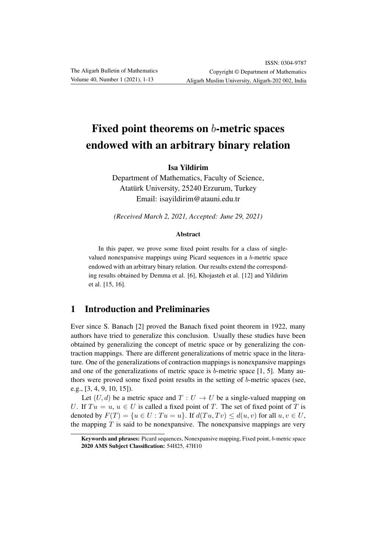# Fixed point theorems on b-metric spaces endowed with an arbitrary binary relation

Isa Yildirim

Department of Mathematics, Faculty of Science, Atatürk University, 25240 Erzurum, Turkey Email: isayildirim@atauni.edu.tr

*(Received March 2, 2021, Accepted: June 29, 2021)*

### Abstract

In this paper, we prove some fixed point results for a class of singlevalued nonexpansive mappings using Picard sequences in a b-metric space endowed with an arbitrary binary relation. Our results extend the corresponding results obtained by Demma et al. [6], Khojasteh et al. [12] and Yildirim et al. [15, 16].

# 1 Introduction and Preliminaries

Ever since S. Banach [2] proved the Banach fixed point theorem in 1922, many authors have tried to generalize this conclusion. Usually these studies have been obtained by generalizing the concept of metric space or by generalizing the contraction mappings. There are different generalizations of metric space in the literature. One of the generalizations of contraction mappings is nonexpansive mappings and one of the generalizations of metric space is  $b$ -metric space [1, 5]. Many authors were proved some fixed point results in the setting of b-metric spaces (see, e.g., [3, 4, 9, 10, 15]).

Let  $(U, d)$  be a metric space and  $T : U \to U$  be a single-valued mapping on U. If  $Tu = u, u \in U$  is called a fixed point of T. The set of fixed point of T is denoted by  $F(T) = \{u \in U : Tu = u\}$ . If  $d(Tu, Tv) \leq d(u, v)$  for all  $u, v \in U$ , the mapping  $T$  is said to be nonexpansive. The nonexpansive mappings are very

Keywords and phrases: Picard sequences, Nonexpansive mapping, Fixed point, b-metric space 2020 AMS Subject Classification: 54H25, 47H10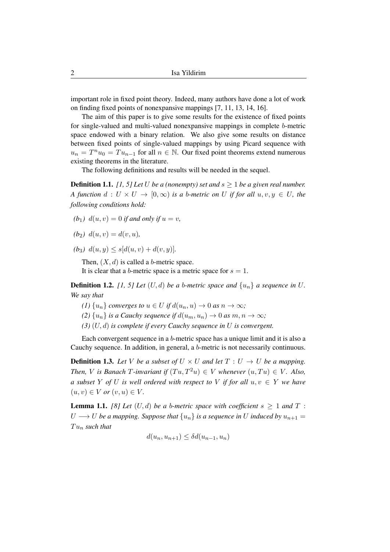important role in fixed point theory. Indeed, many authors have done a lot of work on finding fixed points of nonexpansive mappings [7, 11, 13, 14, 16].

The aim of this paper is to give some results for the existence of fixed points for single-valued and multi-valued nonexpansive mappings in complete b-metric space endowed with a binary relation. We also give some results on distance between fixed points of single-valued mappings by using Picard sequence with  $u_n = T^n u_0 = T u_{n-1}$  for all  $n \in \mathbb{N}$ . Our fixed point theorems extend numerous existing theorems in the literature.

The following definitions and results will be needed in the sequel.

**Definition 1.1.** [1, 5] Let U be a (nonempty) set and  $s \ge 1$  be a given real number. *A function*  $d: U \times U \rightarrow [0, \infty)$  *is a b-metric on* U *if for all*  $u, v, y \in U$ *, the following conditions hold:*

- *(b<sub>1</sub>)*  $d(u, v) = 0$  *if and only if*  $u = v$ *,*
- $(b_2)$   $d(u, v) = d(v, u)$ ,
- (b<sub>3</sub>)  $d(u, y) \leq s[d(u, v) + d(v, y)].$

Then,  $(X, d)$  is called a b-metric space. It is clear that a b-metric space is a metric space for  $s = 1$ .

**Definition 1.2.** [1, 5] Let  $(U, d)$  be a b-metric space and  $\{u_n\}$  a sequence in U. *We say that*

- (1)  $\{u_n\}$  *converges to*  $u \in U$  *if*  $d(u_n, u) \to 0$  *as*  $n \to \infty$ *;*
- (2)  $\{u_n\}$  *is a Cauchy sequence if*  $d(u_m, u_n) \to 0$  *as*  $m, n \to \infty$ *;*
- *(3)* (U, d) *is complete if every Cauchy sequence in* U *is convergent.*

Each convergent sequence in a b-metric space has a unique limit and it is also a Cauchy sequence. In addition, in general, a b-metric is not necessarily continuous.

**Definition 1.3.** Let V be a subset of  $U \times U$  and let  $T : U \rightarrow U$  be a mapping. *Then, V is Banach T*-*invariant if*  $(Tu, T^2u) \in V$  *whenever*  $(u, Tu) \in V$ *. Also, a subset* Y *of* U *is well ordered with respect to* V *if for all*  $u, v \in Y$  *we have*  $(u, v) \in V$  *or*  $(v, u) \in V$ *.* 

**Lemma 1.1.** *[8] Let*  $(U, d)$  *be a b-metric space with coefficient*  $s > 1$  *and*  $T$ :  $U \longrightarrow U$  *be a mapping. Suppose that*  $\{u_n\}$  *is a sequence in* U *induced by*  $u_{n+1} =$  $Tu_n$  such that

$$
d(u_n, u_{n+1}) \leq \delta d(u_{n-1}, u_n)
$$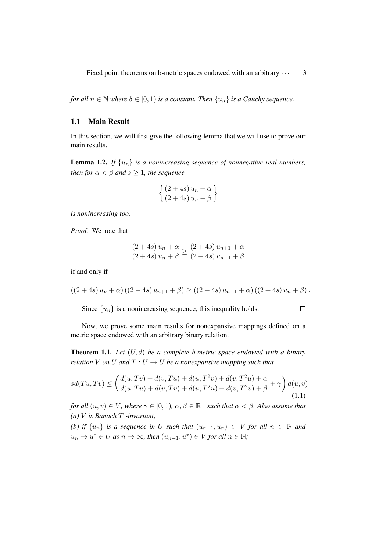*for all*  $n \in \mathbb{N}$  *where*  $\delta \in [0, 1)$  *is a constant. Then*  $\{u_n\}$  *is a Cauchy sequence.* 

## 1.1 Main Result

In this section, we will first give the following lemma that we will use to prove our main results.

**Lemma 1.2.** If  $\{u_n\}$  is a nonincreasing sequence of nonnegative real numbers, *then for*  $\alpha < \beta$  *and*  $s \geq 1$ *, the sequence* 

$$
\left\{\frac{\left(2+4s\right)u_n+\alpha}{\left(2+4s\right)u_n+\beta}\right\}
$$

*is nonincreasing too.*

*Proof.* We note that

$$
\frac{(2+4s) u_n + \alpha}{(2+4s) u_n + \beta} \ge \frac{(2+4s) u_{n+1} + \alpha}{(2+4s) u_{n+1} + \beta}
$$

if and only if

$$
((2+4s) un + \alpha) ((2+4s) un+1 + \beta) \ge ((2+4s) un+1 + \alpha) ((2+4s) un + \beta).
$$

Since  $\{u_n\}$  is a nonincreasing sequence, this inequality holds.

 $\Box$ 

Now, we prove some main results for nonexpansive mappings defined on a metric space endowed with an arbitrary binary relation.

Theorem 1.1. *Let* (U, d) *be a complete* b*-metric space endowed with a binary relation* V *on* U *and*  $T: U \to U$  *be a nonexpansive mapping such that* 

$$
sd(Tu, Tv) \le \left(\frac{d(u, Tv) + d(v, Tu) + d(u, T^2v) + d(v, T^2u) + \alpha}{d(u, Tu) + d(v, Tv) + d(u, T^2u) + d(v, T^2v) + \beta} + \gamma\right) d(u, v)
$$
\n(1.1)

*for all*  $(u, v) \in V$ *, where*  $\gamma \in [0, 1)$ *,*  $\alpha, \beta \in \mathbb{R}^+$  *such that*  $\alpha < \beta$ *. Also assume that (a)* V *is Banach* T *-invariant;*

*(b)* if  $\{u_n\}$  *is a sequence in* U *such that*  $(u_{n-1}, u_n) \in V$  *for all*  $n \in \mathbb{N}$  *and*  $u_n \to u^* \in U$  as  $n \to \infty$ , then  $(u_{n-1}, u^*) \in V$  for all  $n \in \mathbb{N}$ ;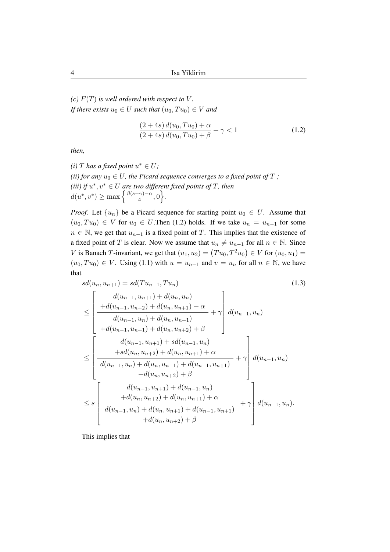*(c)*  $F(T)$  *is well ordered with respect to*  $V$ *. If there exists*  $u_0 \in U$  *such that*  $(u_0, Tu_0) \in V$  *and* 

$$
\frac{(2+4s) d(u_0, Tu_0) + \alpha}{(2+4s) d(u_0, Tu_0) + \beta} + \gamma < 1
$$
\n(1.2)

*then,*

(*i*) *T* has a fixed point  $u^* \in U$ ; *(ii) for any*  $u_0 \in U$ *, the Picard sequence converges to a fixed point of*  $T$ *;* (*iii*) if  $u^*, v^* \in U$  are two different fixed points of T, then  $d(u^*, v^*) \geq \max \left\{ \frac{\beta(s-\gamma)-\alpha}{4} \right\}$  $\frac{\cdot \gamma}{4}, 0$ .

*Proof.* Let  $\{u_n\}$  be a Picard sequence for starting point  $u_0 \in U$ . Assume that  $(u_0, Tu_0) \in V$  for  $u_0 \in U$ . Then (1.2) holds. If we take  $u_n = u_{n-1}$  for some  $n \in \mathbb{N}$ , we get that  $u_{n-1}$  is a fixed point of T. This implies that the existence of a fixed point of T is clear. Now we assume that  $u_n \neq u_{n-1}$  for all  $n \in \mathbb{N}$ . Since V is Banach T-invariant, we get that  $(u_1, u_2) = (Tu_0, T^2u_0) \in V$  for  $(u_0, u_1) =$  $(u_0, Tu_0) \in V$ . Using (1.1) with  $u = u_{n-1}$  and  $v = u_n$  for all  $n \in \mathbb{N}$ , we have that

$$
sd(u_n, u_{n+1}) = sd(Tu_{n-1}, Tu_n)
$$
\n
$$
\leq \left[\begin{array}{c} d(u_{n-1}, u_{n+1}) + d(u_n, u_n) \\ + d(u_{n-1}, u_{n+2}) + d(u_n, u_{n+1}) + \alpha \\ d(u_{n-1}, u_n) + d(u_n, u_{n+1}) + d(u_n, u_{n+2}) + \beta \end{array}\right] d(u_{n-1}, u_n)
$$
\n
$$
\leq \left[\begin{array}{c} d(u_{n-1}, u_{n+1}) + d(u_n, u_{n+2}) + \beta \\ + sd(u_n, u_{n+2}) + d(u_n, u_{n+1}) + \alpha \\ + sd(u_n, u_{n+2}) + d(u_n, u_{n+1}) + \alpha \\ + d(u_n, u_{n+2}) + \beta \end{array}\right] d(u_{n-1}, u_n)
$$
\n
$$
\leq s \left[\begin{array}{c} d(u_{n-1}, u_{n+1}) + d(u_{n-1}, u_n) \\ + d(u_n, u_{n+2}) + d(u_{n-1}, u_n) \\ + d(u_n, u_{n+2}) + d(u_n, u_{n+1}) + \alpha \\ -d(u_n, u_{n+2}) + \beta \end{array}\right] d(u_{n-1}, u_n).
$$
\n(1.3)

This implies that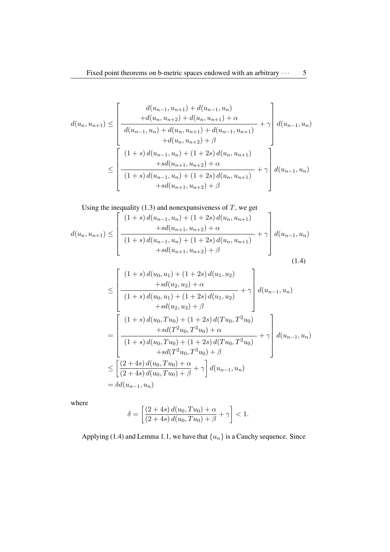$$
d(u_n, u_{n+1}) \leq \left[\begin{array}{c} d(u_{n-1}, u_{n+1}) + d(u_{n-1}, u_n) \\ + d(u_n, u_{n+2}) + d(u_n, u_{n+1}) + \alpha \\ \hline d(u_{n-1}, u_n) + d(u_n, u_{n+1}) + d(u_{n-1}, u_{n+1}) \\ + d(u_n, u_{n+2}) + \beta \end{array}\right] d(u_{n-1}, u_n)
$$
  
\n
$$
\leq \left[\begin{array}{c} (1+s) d(u_{n-1}, u_n) + (1+2s) d(u_n, u_{n+1}) \\ + s d(u_{n+1}, u_{n+2}) + \alpha \\ \hline (1+s) d(u_{n-1}, u_n) + (1+2s) d(u_n, u_{n+1}) \\ + s d(u_{n+1}, u_{n+2}) + \beta \end{array}\right] d(u_{n-1}, u_n)
$$

Using the inequality  $(1.3)$  and nonexpansiveness of  $T$ , we get

$$
d(u_n, u_{n+1}) \leq \left[\frac{(1+s) d(u_{n-1}, u_n) + (1+2s) d(u_n, u_{n+1}) + sd(u_{n+1}, u_{n+2}) + \alpha}{(1+s) d(u_{n-1}, u_n) + (1+2s) d(u_n, u_{n+1})} + \gamma \right] d(u_{n-1}, u_n) + sd(u_{n+1}, u_{n+2}) + \beta
$$
\n(1.4)

 $\overline{a}$ 

$$
\leq \left[\frac{(1+s) d(u_0, u_1) + (1+2s) d(u_1, u_2)}{(1+s) d(u_0, u_1) + (1+2s) d(u_1, u_2)} + \gamma \right] d(u_{n-1}, u_n)
$$
  
\n
$$
+ s d(u_2, u_3) + \beta
$$
  
\n
$$
= \left[\frac{(1+s) d(u_0, Tu_0) + (1+2s) d(Tu_0, T^2u_0)}{(1+s) d(u_0, Tu_0) + (1+2s) d(Tu_0, T^2u_0)} + \gamma \right] d(u_{n-1}, u_n)
$$
  
\n
$$
\leq \left[\frac{(2+4s) d(u_0, Tu_0) + \alpha}{(2+4s) d(u_0, Tu_0) + \beta} + \gamma \right] d(u_{n-1}, u_n)
$$
  
\n
$$
= \delta d(u_{n-1}, u_n)
$$

where

$$
\delta=\left[\frac{\left(2+4s\right)d(u_0,Tu_0)+\alpha}{\left(2+4s\right)d(u_0,Tu_0)+\beta}+\gamma\right]<1.
$$

Applying (1.4) and Lemma 1.1, we have that  $\{u_n\}$  is a Cauchy sequence. Since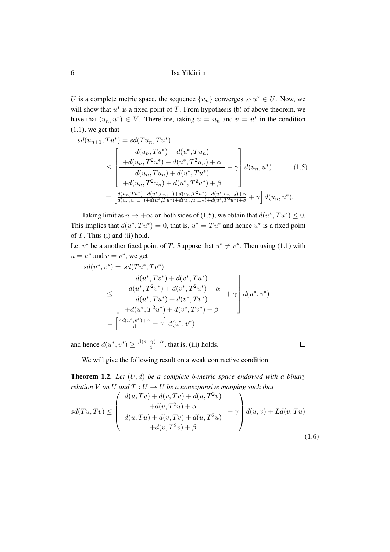U is a complete metric space, the sequence  $\{u_n\}$  converges to  $u^* \in U$ . Now, we will show that  $u^*$  is a fixed point of  $T$ . From hypothesis (b) of above theorem, we have that  $(u_n, u^*) \in V$ . Therefore, taking  $u = u_n$  and  $v = u^*$  in the condition (1.1), we get that

$$
sd(u_{n+1}, Tu^*) = sd(Tu_n, Tu^*)
$$
  
\n
$$
\leq \begin{bmatrix} d(u_n, Tu^*) + d(u^*, Tu_n) \\ +d(u_n, T^2u^*) + d(u^*, T^2u_n) + \alpha \\ \frac{d(u_n, Tu_n) + d(u^*, Tu^*)}{d(u_n, Tu_n) + d(u^*, Tu^*)} + \gamma \end{bmatrix} d(u_n, u^*)
$$
(1.5)  
\n
$$
= \begin{bmatrix} \frac{d(u_n, Tu^*) + d(u^*, u_{n+1}) + d(u_n, T^2u^*) + d(u^*, u_{n+2}) + \alpha \\ \frac{d(u_n, u_{n+1}) + d(u^*, Tu^*) + d(u_n, u_{n+2}) + d(u^*, T^2u^*) + \beta}{d(u_n, u^*)} + \gamma \end{bmatrix} d(u_n, u^*).
$$

Taking limit as  $n \to +\infty$  on both sides of (1.5), we obtain that  $d(u^*, Tu^*) \leq 0$ . This implies that  $d(u^*, Tu^*) = 0$ , that is,  $u^* = Tu^*$  and hence  $u^*$  is a fixed point of  $T$ . Thus (i) and (ii) hold.

Let  $v^*$  be a another fixed point of T. Suppose that  $u^* \neq v^*$ . Then using (1.1) with  $u = u^*$  and  $v = v^*$ , we get

$$
sd(u^*, v^*) = sd(Tu^*, Tv^*)
$$
  
\n
$$
\leq \left[\begin{array}{c} d(u^*, Tv^*) + d(v^*, Tu^*) \\ + d(u^*, T^2v^*) + d(v^*, T^2u^*) + \alpha \\ \hline d(u^*, Tu^*) + d(v^*, Tv^*) \\ + d(u^*, T^2u^*) + d(v^*, Tv^*) + \beta \end{array}\right] d(u^*, v^*)
$$
  
\n
$$
= \left[\frac{4d(u^*, v^*) + \alpha}{\beta} + \gamma\right] d(u^*, v^*)
$$

and hence  $d(u^*, v^*) \geq \frac{\beta(s-\gamma)-\alpha}{4}$  $\frac{(\gamma)-\alpha}{4}$ , that is, (iii) holds.

 $\Box$ 

We will give the following result on a weak contractive condition.

Theorem 1.2. *Let* (U, d) *be a complete* b*-metric space endowed with a binary relation* V *on* U and  $T: U \to U$  *be a nonexpansive mapping such that* 

$$
sd(Tu, Tv) \leq \left(\frac{d(u, Tv) + d(v, Tu) + d(u, T^2v)}{d(u, Tu) + d(v, Tv) + d(u, T^2u)} + \gamma\right) d(u, v) + Ld(v, Tu) + d(v, T^2v) + \beta
$$
\n(1.6)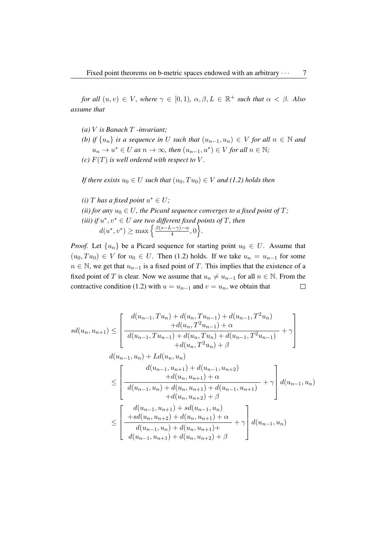*for all*  $(u, v) \in V$ *, where*  $\gamma \in [0, 1)$ *,*  $\alpha, \beta, L \in \mathbb{R}^+$  *such that*  $\alpha < \beta$ *. Also assume that*

- *(a)* V *is Banach* T *-invariant;*
- *(b) if*  $\{u_n\}$  *is a sequence in* U *such that*  $(u_{n-1}, u_n) \in V$  *for all*  $n \in \mathbb{N}$  *and*  $u_n \to u^* \in U$  as  $n \to \infty$ , then  $(u_{n-1}, u^*) \in V$  for all  $n \in \mathbb{N}$ ;
- *(c)*  $F(T)$  *is well ordered with respect to*  $V$ *.*

*If there exists*  $u_0 \in U$  *such that*  $(u_0, Tu_0) \in V$  *and* (1.2) holds then

(*i*) *T* has a fixed point  $u^* \in U$ ; *(ii) for any*  $u_0 \in U$ , the Picard sequence converges to a fixed point of T; (*iii*) if  $u^*, v^* \in U$  are two different fixed points of T, then  $d(u^*, v^*) \geq \max \left\{ \frac{\beta(s-L-\gamma)-\alpha}{4} \right\}$  $\frac{(-\gamma)-\alpha}{4},0$ .

*Proof.* Let  $\{u_n\}$  be a Picard sequence for starting point  $u_0 \in U$ . Assume that  $(u_0, Tu_0) \in V$  for  $u_0 \in U$ . Then (1.2) holds. If we take  $u_n = u_{n-1}$  for some  $n \in \mathbb{N}$ , we get that  $u_{n-1}$  is a fixed point of T. This implies that the existence of a fixed point of T is clear. Now we assume that  $u_n \neq u_{n-1}$  for all  $n \in \mathbb{N}$ . From the contractive condition (1.2) with  $u = u_{n-1}$  and  $v = u_n$ , we obtain that  $\Box$ 

$$
sd(u_n, u_{n+1}) \leq \left[\begin{array}{c} d(u_{n-1}, Tu_n) + d(u_n, Tu_{n-1}) + d(u_{n-1}, T^2 u_n) \\ + d(u_n, T^2 u_{n-1}) + \alpha \\ \hline d(u_{n-1}, Tu_{n-1}) + d(u_n, Tu_n) + d(u_{n-1}, T^2 u_{n-1}) \\ + d(u_n, T^2 u_n) + \beta \end{array}\right]
$$
  

$$
d(u_{n-1}, u_n) + L d(u_n, u_n)
$$
  

$$
\leq \left[\begin{array}{c} d(u_{n-1}, u_{n+1}) + d(u_{n-1}, u_{n+2}) \\ + d(u_n, u_{n+1}) + \alpha \\ \hline d(u_n, u_{n+1}) + d(u_{n-1}, u_{n+1}) \\ + d(u_n, u_{n+2}) + \beta \end{array}\right] d(u_{n-1}, u_n)
$$
  

$$
\leq \left[\begin{array}{c} d(u_{n-1}, u_{n+1}) + sd(u_{n-1}, u_n) \\ + sd(u_n, u_{n+2}) + d(u_n, u_{n+1}) + \alpha \\ \hline d(u_{n-1}, u_n) + d(u_n, u_{n+1}) + \alpha \\ \hline d(u_{n-1}, u_{n+1}) + d(u_n, u_{n+2}) + \beta \end{array}\right] d(u_{n-1}, u_n)
$$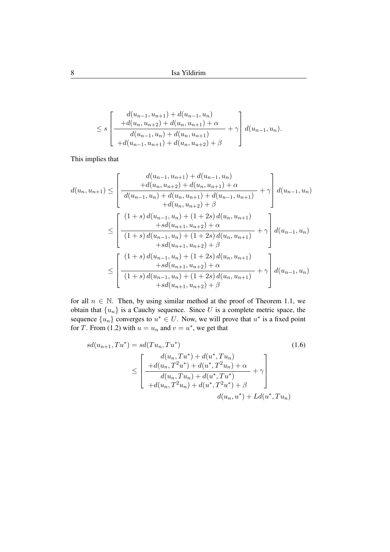$$
\leq s \left[ \frac{d(u_{n-1}, u_{n+1}) + d(u_{n-1}, u_n)}{+d(u_n, u_{n+2}) + d(u_n, u_{n+1}) + \alpha} + \gamma \right] d(u_{n-1}, u_n).
$$
  
+ 
$$
d(u_{n-1}, u_n) + d(u_n, u_{n+1}) + \beta
$$

This implies that

$$
d(u_n, u_{n+1}) \leq \left[\frac{d(u_{n-1}, u_{n+1}) + d(u_{n-1}, u_n)}{d(u_{n-1}, u_n) + d(u_n, u_{n+1}) + d(u_{n-1}, u_{n+1})} + \gamma \right] d(u_{n-1}, u_n)
$$
  
\n
$$
\leq \left[\frac{(1+s) d(u_{n-1}, u_n) + (1+2s) d(u_n, u_{n+1})}{d(u_{n-1}, u_n) + (1+2s) d(u_n, u_{n+1})} + \gamma \right] d(u_{n-1}, u_n)
$$
  
\n
$$
\leq \left[\frac{(1+s) d(u_{n-1}, u_n) + (1+2s) d(u_n, u_{n+1})}{(1+s) d(u_{n-1}, u_n) + (1+2s) d(u_n, u_{n+1})} + \gamma \right] d(u_{n-1}, u_n)
$$
  
\n
$$
\leq \left[\frac{(1+s) d(u_{n-1}, u_n) + (1+2s) d(u_n, u_{n+1})}{d(u_{n+1}, u_{n+2}) + \alpha} + \gamma \right] d(u_{n-1}, u_n)
$$
  
\n
$$
+ sd(u_{n+1}, u_{n+2}) + \beta
$$
  
\n
$$
+ sd(u_{n+1}, u_{n+2}) + \beta
$$

for all  $n \in \mathbb{N}$ . Then, by using similar method at the proof of Theorem 1.1, we obtain that  $\{u_n\}$  is a Cauchy sequence. Since U is a complete metric space, the sequence  $\{u_n\}$  converges to  $u^* \in U$ . Now, we will prove that  $u^*$  is a fixed point for T. From (1.2) with  $u = u_n$  and  $v = u^*$ , we get that

$$
sd(u_{n+1}, Tu^*) = sd(Tu_n, Tu^*)
$$
\n
$$
\leq \begin{bmatrix}\nd(u_n, Tu^*) + d(u^*, Tu_n) \\
+d(u_n, T^2u^*) + d(u^*, T^2u_n) + \alpha \\
\frac{d(u_n, Tu_n) + d(u^*, Tu^*)}{d(u_n, Tu_n) + d(u^*, Tu^*)} + \gamma \\
+d(u_n, T^2u_n) + d(u^*, T^2u^*) + \beta\n\end{bmatrix}
$$
\n(1.6)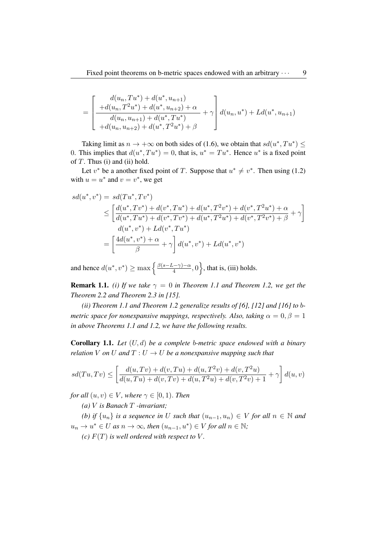$$
= \left[\begin{array}{c} d(u_n, Tu^*) + d(u^*, u_{n+1}) \\ + d(u_n, T^2u^*) + d(u^*, u_{n+2}) + \alpha \\ \hline d(u_n, u_{n+1}) + d(u^*, Tu^*) \\ + d(u_n, u_{n+2}) + d(u^*, T^2u^*) + \beta \end{array}\right] d(u_n, u^*) + Ld(u^*, u_{n+1})
$$

Taking limit as  $n \to +\infty$  on both sides of (1.6), we obtain that  $sd(u^*, Tu^*) \leq$ 0. This implies that  $d(u^*, Tu^*) = 0$ , that is,  $u^* = Tu^*$ . Hence  $u^*$  is a fixed point of  $T$ . Thus (i) and (ii) hold.

Let  $v^*$  be a another fixed point of T. Suppose that  $u^* \neq v^*$ . Then using (1.2) with  $u = u^*$  and  $v = v^*$ , we get

$$
sd(u^*, v^*) = sd(Tu^*, Tv^*)
$$
  
\n
$$
\leq \left[ \frac{d(u^*, Tv^*) + d(v^*, Tu^*) + d(u^*, T^2v^*) + d(v^*, T^2u^*) + \alpha}{d(u^*, Tu^*) + d(v^*, Tv^*) + d(u^*, T^2u^*) + d(v^*, T^2v^*) + \beta} + \gamma \right]
$$
  
\n
$$
d(u^*, v^*) + Ld(v^*, Tu^*)
$$
  
\n
$$
= \left[ \frac{4d(u^*, v^*) + \alpha}{\beta} + \gamma \right] d(u^*, v^*) + Ld(u^*, v^*)
$$

and hence  $d(u^*, v^*) \ge \max \left\{ \frac{\beta(s-L-\gamma)-\alpha}{4} \right\}$  $\left\{\frac{1-\gamma-\alpha}{4}, 0\right\}$ , that is, (iii) holds.

**Remark 1.1.** *(i) If we take*  $\gamma = 0$  *in Theorem 1.1 and Theorem 1.2, we get the Theorem 2.2 and Theorem 2.3 in [15].*

*(ii) Theorem 1.1 and Theorem 1.2 generalize results of [6], [12] and [16] to* b*metric space for nonexpansive mappings, respectively. Also, taking*  $\alpha = 0, \beta = 1$ *in above Theorems 1.1 and 1.2, we have the following results.*

Corollary 1.1. *Let* (U, d) *be a complete* b*-metric space endowed with a binary relation* V *on* U *and*  $T: U \to U$  *be a nonexpansive mapping such that* 

$$
sd(Tu,Tv) \le \left[ \frac{d(u,Tv) + d(v,Tu) + d(u,T^2v) + d(v,T^2u)}{d(u,Tu) + d(v,Tv) + d(u,T^2u) + d(v,T^2v) + 1} + \gamma \right] d(u,v)
$$

*for all*  $(u, v) \in V$ *, where*  $\gamma \in [0, 1)$ *. Then* 

*(a)* V *is Banach* T *-invariant;*

*(b) if*  $\{u_n\}$  *is a sequence in* U *such that*  $(u_{n-1}, u_n) \in V$  *for all*  $n \in \mathbb{N}$  *and*  $u_n \to u^* \in U$  as  $n \to \infty$ , then  $(u_{n-1}, u^*) \in V$  for all  $n \in \mathbb{N}$ ;

*(c)*  $F(T)$  *is well ordered with respect to*  $V$ *.*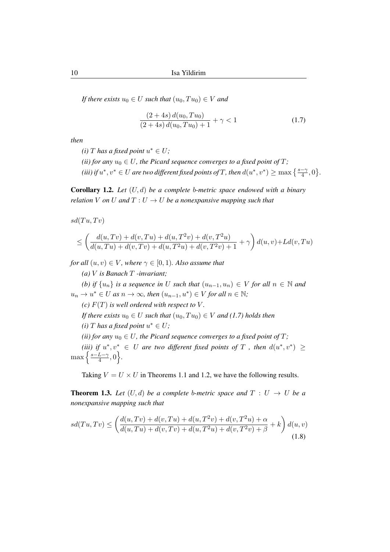*If there exists*  $u_0 \in U$  *such that*  $(u_0, Tu_0) \in V$  *and* 

$$
\frac{(2+4s)\,d(u_0, Tu_0)}{(2+4s)\,d(u_0, Tu_0) + 1} + \gamma < 1\tag{1.7}
$$

*then*

- (*i*) *T* has a fixed point  $u^* \in U$ ;
- *(ii)* for any  $u_0 \in U$ , the Picard sequence converges to a fixed point of T;
- (*iii*) if  $u^*, v^* \in U$  are two different fixed points of T, then  $d(u^*, v^*) \ge \max\left\{\frac{s-\gamma}{4}, 0\right\}$ .

Corollary 1.2. *Let* (U, d) *be a complete* b*-metric space endowed with a binary relation* V *on* U *and*  $T: U \to U$  *be a nonexpansive mapping such that* 

 $sd(Tu,Tv)$ 

$$
\leq \left(\frac{d(u,Tv) + d(v,Tu) + d(u,T^2v) + d(v,T^2u)}{d(u,Tu) + d(v,Tv) + d(u,T^2u) + d(v,T^2v) + 1} + \gamma\right) d(u,v) + Ld(v,Tu)
$$

*for all*  $(u, v) \in V$ *, where*  $\gamma \in [0, 1)$ *. Also assume that* 

*(a)* V *is Banach* T *-invariant; (b)* if  $\{u_n\}$  is a sequence in U such that  $(u_{n-1}, u_n) \in V$  for all  $n \in \mathbb{N}$  and  $u_n \to u^* \in U$  as  $n \to \infty$ , then  $(u_{n-1}, u^*) \in V$  for all  $n \in \mathbb{N}$ ; *(c)*  $F(T)$  *is well ordered with respect to*  $V$ *. If there exists*  $u_0 \in U$  *such that*  $(u_0, Tu_0) \in V$  *and* (1.7) holds then (*i*) *T* has a fixed point  $u^* \in U$ ; *(ii) for any*  $u_0 \in U$ , the Picard sequence converges to a fixed point of T; (*iii*) if  $u^*, v^* \in U$  are two different fixed points of T, then  $d(u^*, v^*) \ge$  $\max\left\{\frac{s-L-\gamma}{4}\right\}$  $\frac{L-\gamma}{4},0$ .

Taking  $V = U \times U$  in Theorems 1.1 and 1.2, we have the following results.

**Theorem 1.3.** Let  $(U, d)$  be a complete b-metric space and  $T : U \rightarrow U$  be a *nonexpansive mapping such that*

$$
sd(Tu,Tv) \le \left(\frac{d(u,Tv) + d(v,Tu) + d(u,T^2v) + d(v,T^2u) + \alpha}{d(u,Tu) + d(v,Tv) + d(u,T^2u) + d(v,T^2v) + \beta} + k\right) d(u,v)
$$
\n(1.8)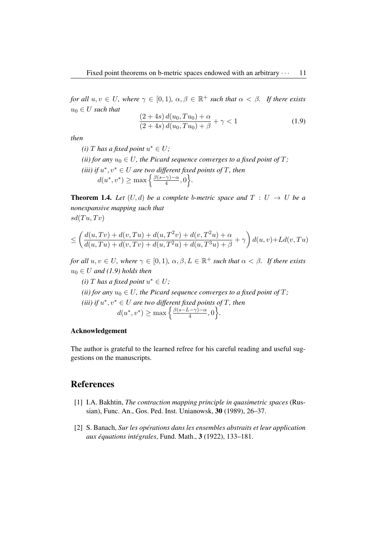*for all*  $u, v \in U$ *, where*  $\gamma \in [0, 1)$ *,*  $\alpha, \beta \in \mathbb{R}^+$  *such that*  $\alpha < \beta$ *. If there exists*  $u_0 \in U$  *such that* 

$$
\frac{(2+4s)\,d(u_0, Tu_0) + \alpha}{(2+4s)\,d(u_0, Tu_0) + \beta} + \gamma < 1\tag{1.9}
$$

*then*

- (*i*) *T* has a fixed point  $u^* \in U$ ;
- *(ii) for any*  $u_0 \in U$ , the Picard sequence converges to a fixed point of T; (*iii*) if  $u^*, v^* \in U$  are two different fixed points of T, then  $d(u^*, v^*) \geq \max \left\{ \frac{\beta(s-\gamma)-\alpha}{4} \right\}$  $\frac{\cdot \gamma}{4}, 0$ .

**Theorem 1.4.** Let  $(U, d)$  be a complete b-metric space and  $T : U \rightarrow U$  be a *nonexpansive mapping such that*  $sd(Tu, Tv)$ 

$$
\leq \left(\frac{d(u,Tv) + d(v,Tu) + d(u,T^2v) + d(v,T^2u) + \alpha}{d(u,Tu) + d(v,Tv) + d(u,T^2u) + d(u,T^3u) + \beta} + \gamma\right) d(u,v) + Ld(v,Tu)
$$

*for all*  $u, v \in U$ *, where*  $\gamma \in [0, 1)$ *,*  $\alpha, \beta, L \in \mathbb{R}^+$  *such that*  $\alpha < \beta$ *. If there exists*  $u_0 \in U$  and (1.9) holds then

(*i*) *T* has a fixed point  $u^* \in U$ ; *(ii) for any*  $u_0 \in U$ , the Picard sequence converges to a fixed point of T; (*iii*) if  $u^*, v^* \in U$  are two different fixed points of T, then  $d(u^*, v^*) \geq \max\left\{\frac{\beta(s-L-\gamma)-\alpha}{4}\right\}$  $\frac{(-\gamma)-\alpha}{4},0$ .

#### Acknowledgement

The author is grateful to the learned refree for his careful reading and useful suggestions on the manuscripts.

# References

- [1] I.A. Bakhtin, *The contraction mapping principle in quasimetric spaces* (Russian), Func. An., Gos. Ped. Inst. Unianowsk, 30 (1989), 26–37.
- [2] S. Banach, *Sur les operations dans les ensembles abstraits et leur application ´ aux equations int ´ egrales ´* , Fund. Math., 3 (1922), 133–181.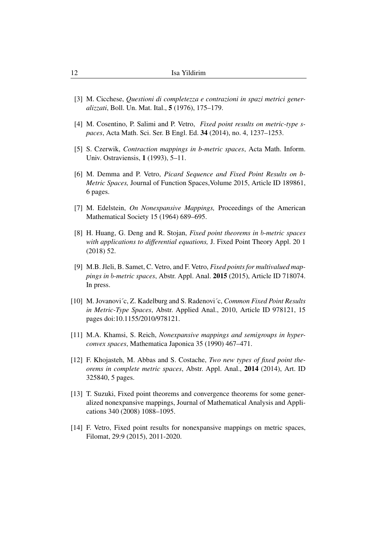- [3] M. Cicchese, *Questioni di completezza e contrazioni in spazi metrici generalizzati*, Boll. Un. Mat. Ital., 5 (1976), 175–179.
- [4] M. Cosentino, P. Salimi and P. Vetro, *Fixed point results on metric-type spaces*, Acta Math. Sci. Ser. B Engl. Ed. 34 (2014), no. 4, 1237–1253.
- [5] S. Czerwik, *Contraction mappings in b-metric spaces*, Acta Math. Inform. Univ. Ostraviensis, 1 (1993), 5–11.
- [6] M. Demma and P. Vetro, *Picard Sequence and Fixed Point Results on b-Metric Spaces,* Journal of Function Spaces,Volume 2015, Article ID 189861, 6 pages.
- [7] M. Edelstein, *On Nonexpansive Mappings,* Proceedings of the American Mathematical Society 15 (1964) 689–695.
- [8] H. Huang, G. Deng and R. Stojan, *Fixed point theorems in* b*-metric spaces with applications to differential equations,* J. Fixed Point Theory Appl. 20 1 (2018) 52.
- [9] M.B. Jleli, B. Samet, C. Vetro, and F. Vetro, *Fixed points for multivalued mappings in* b*-metric spaces*, Abstr. Appl. Anal. 2015 (2015), Article ID 718074. In press.
- [10] M. Jovanovi´c, Z. Kadelburg and S. Radenovi´c, *Common Fixed Point Results in Metric-Type Spaces*, Abstr. Applied Anal., 2010, Article ID 978121, 15 pages doi:10.1155/2010/978121.
- [11] M.A. Khamsi, S. Reich, *Nonexpansive mappings and semigroups in hyperconvex spaces*, Mathematica Japonica 35 (1990) 467–471.
- [12] F. Khojasteh, M. Abbas and S. Costache, *Two new types of fixed point theorems in complete metric spaces*, Abstr. Appl. Anal., 2014 (2014), Art. ID 325840, 5 pages.
- [13] T. Suzuki, Fixed point theorems and convergence theorems for some generalized nonexpansive mappings, Journal of Mathematical Analysis and Applications 340 (2008) 1088–1095.
- [14] F. Vetro, Fixed point results for nonexpansive mappings on metric spaces, Filomat, 29:9 (2015), 2011-2020.